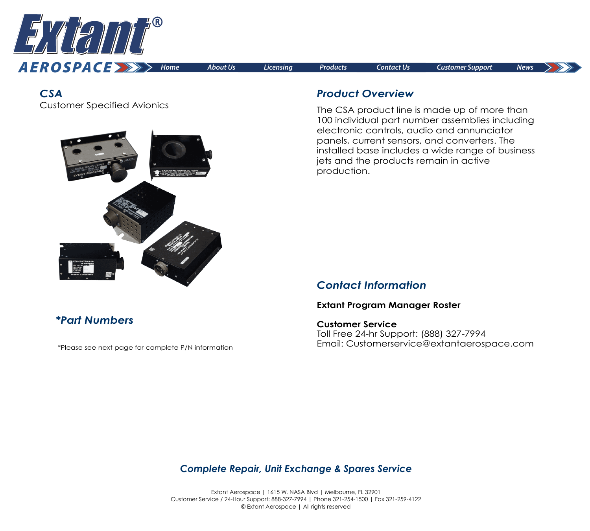

*CSA*

Customer Specified Avionics



### *Product Overview*

The CSA product line is made up of more than 100 individual part number assemblies including electronic controls, audio and annunciator panels, current sensors, and converters. The installed base includes a wide range of business jets and the products remain in active production.

## *Contact Information*

#### **[Extant Program Manager Roster](https://extantaerospace.com/docs/Program_Manager_Roster.pdf)**

**Customer Service** Toll Free 24-hr Support: (888) 327-7994 Email: Customerservice@extantaerospace.com

# *\*Part Numbers*

\*Please see next page for complete P/N information

### *Complete Repair, Unit Exchange & Spares Service*

Extant Aerospace | 1615 W. NASA Blvd | Melbourne, FL 32901 Customer Service / 24-Hour Support: 888-327-7994 | Phone 321-254-1500 | Fax 321-259-4122 © Extant Aerospace | All rights reserved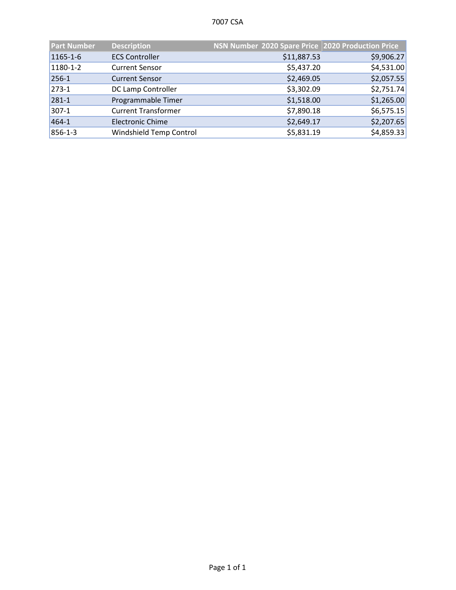| <b>Part Number</b> | <b>Description</b>         | NSN Number 2020 Spare Price 2020 Production Price |            |
|--------------------|----------------------------|---------------------------------------------------|------------|
| 1165-1-6           | <b>ECS Controller</b>      | \$11,887.53                                       | \$9,906.27 |
| 1180-1-2           | <b>Current Sensor</b>      | \$5,437.20                                        | \$4,531.00 |
| 256-1              | <b>Current Sensor</b>      | \$2,469.05                                        | \$2,057.55 |
| $273-1$            | DC Lamp Controller         | \$3,302.09                                        | \$2,751.74 |
| 281-1              | Programmable Timer         | \$1,518.00                                        | \$1,265.00 |
| $ 307-1 $          | <b>Current Transformer</b> | \$7,890.18                                        | \$6,575.15 |
| 464-1              | <b>Electronic Chime</b>    | \$2,649.17                                        | \$2,207.65 |
| 856-1-3            | Windshield Temp Control    | \$5,831.19                                        | \$4,859.33 |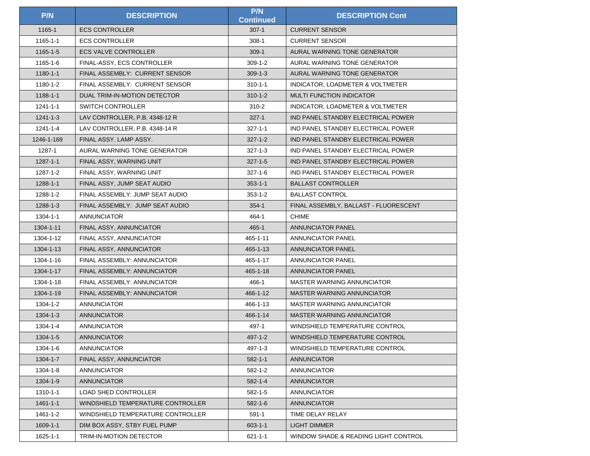| P/N            | <b>DESCRIPTION</b>                | P/N<br><b>Continued</b> | <b>DESCRIPTION Cont</b>               |
|----------------|-----------------------------------|-------------------------|---------------------------------------|
| 1165-1         | <b>ECS CONTROLLER</b>             | $307 - 1$               | <b>CURRENT SENSOR</b>                 |
| 1165-1-1       | <b>ECS CONTROLLER</b>             | $308 - 1$               | <b>CURRENT SENSOR</b>                 |
| $1165 - 1 - 5$ | <b>ECS VALVE CONTROLLER</b>       | $309 - 1$               | AURAL WARNING TONE GENERATOR          |
| 1165-1-6       | FINAL-ASSY, ECS CONTROLLER        | $309-1-2$               | AURAL WARNING TONE GENERATOR          |
| $1180 - 1 - 1$ | FINAL ASSEMBLY: CURRENT SENSOR    | $309-1-3$               | AURAL WARNING TONE GENERATOR          |
| 1180-1-2       | FINAL ASSEMBLY: CURRENT SENSOR    | $310 - 1 - 1$           | INDICATOR, LOADMETER & VOLTMETER      |
| 1188-1-1       | DUAL TRIM-IN-MOTION DETECTOR      | $310 - 1 - 2$           | <b>MULTI FUNCTION INDICATOR</b>       |
| 1241-1-1       | <b>SWITCH CONTROLLER</b>          | 310-2                   | INDICATOR, LOADMETER & VOLTMETER      |
| $1241 - 1 - 3$ | LAV CONTROLLER, P.B. 4348-12 R    | $327 - 1$               | IND PANEL STANDBY ELECTRICAL POWER    |
| 1241-1-4       | LAV CONTROLLER, P.B. 4348-14 R    | $327 - 1 - 1$           | IND PANEL STANDBY ELECTRICAL POWER    |
| 1246-1-169     | FINAL ASSY. LAMP ASSY.            | $327 - 1 - 2$           | IND PANEL STANDBY ELECTRICAL POWER    |
| 1287-1         | AURAL WARNING TONE GENERATOR      | $327 - 1 - 3$           | IND PANEL STANDBY ELECTRICAL POWER    |
| $1287 - 1 - 1$ | FINAL ASSY, WARNING UNIT          | $327 - 1 - 5$           | IND PANEL STANDBY ELECTRICAL POWER    |
| 1287-1-2       | FINAL ASSY, WARNING UNIT          | $327 - 1 - 6$           | IND PANEL STANDBY ELECTRICAL POWER    |
| 1288-1-1       | FINAL ASSY, JUMP SEAT AUDIO       | $353 - 1 - 1$           | <b>BALLAST CONTROLLER</b>             |
| 1288-1-2       | FINAL ASSEMBLY: JUMP SEAT AUDIO   | $353 - 1 - 2$           | <b>BALLAST CONTROL</b>                |
| 1288-1-3       | FINAL ASSEMBLY: JUMP SEAT AUDIO   | $354 - 1$               | FINAL ASSEMBLY, BALLAST - FLUORESCENT |
| 1304-1-1       | <b>ANNUNCIATOR</b>                | 464-1                   | <b>CHIME</b>                          |
| 1304-1-11      | FINAL ASSY, ANNUNCIATOR           | $465 - 1$               | <b>ANNUNCIATOR PANEL</b>              |
| 1304-1-12      | FINAL ASSY, ANNUNCIATOR           | 465-1-11                | ANNUNCIATOR PANEL                     |
| 1304-1-13      | FINAL ASSY, ANNUNCIATOR           | 465-1-13                | ANNUNCIATOR PANEL                     |
| 1304-1-16      | FINAL ASSEMBLY: ANNUNCIATOR       | 465-1-17                | <b>ANNUNCIATOR PANEL</b>              |
| 1304-1-17      | FINAL ASSEMBLY: ANNUNCIATOR       | 465-1-18                | <b>ANNUNCIATOR PANEL</b>              |
| 1304-1-18      | FINAL ASSEMBLY: ANNUNCIATOR       | 466-1                   | MASTER WARNING ANNUNCIATOR            |
| 1304-1-19      | FINAL ASSEMBLY: ANNUNCIATOR       | 466-1-12                | MASTER WARNING ANNUNCIATOR            |
| 1304-1-2       | <b>ANNUNCIATOR</b>                | 466-1-13                | MASTER WARNING ANNUNCIATOR            |
| $1304 - 1 - 3$ | <b>ANNUNCIATOR</b>                | 466-1-14                | <b>MASTER WARNING ANNUNCIATOR</b>     |
| $1304 - 1 - 4$ | <b>ANNUNCIATOR</b>                | 497-1                   | WINDSHIELD TEMPERATURE CONTROL        |
| 1304-1-5       | <b>ANNUNCIATOR</b>                | $497 - 1 - 2$           | WINDSHIELD TEMPERATURE CONTROL        |
| 1304-1-6       | <b>ANNUNCIATOR</b>                | 497-1-3                 | WINDSHIELD TEMPERATURE CONTROL        |
| 1304-1-7       | FINAL ASSY, ANNUNCIATOR           | $582 - 1 - 1$           | <b>ANNUNCIATOR</b>                    |
| 1304-1-8       | <b>ANNUNCIATOR</b>                | 582-1-2                 | <b>ANNUNCIATOR</b>                    |
| 1304-1-9       | <b>ANNUNCIATOR</b>                | $582 - 1 - 4$           | <b>ANNUNCIATOR</b>                    |
| 1310-1-1       | LOAD SHED CONTROLLER              | $582 - 1 - 5$           | <b>ANNUNCIATOR</b>                    |
| $1461 - 1 - 1$ | WINDSHIELD TEMPERATURE CONTROLLER | $582 - 1 - 6$           | <b>ANNUNCIATOR</b>                    |
| 1461-1-2       | WINDSHIELD TEMPERATURE CONTROLLER | $591 - 1$               | TIME DELAY RELAY                      |
| 1609-1-1       | DIM BOX ASSY, STBY FUEL PUMP      | $603 - 1 - 1$           | <b>LIGHT DIMMER</b>                   |
| 1625-1-1       | <b>TRIM-IN-MOTION DETECTOR</b>    | $621 - 1 - 1$           | WINDOW SHADE & READING LIGHT CONTROL  |